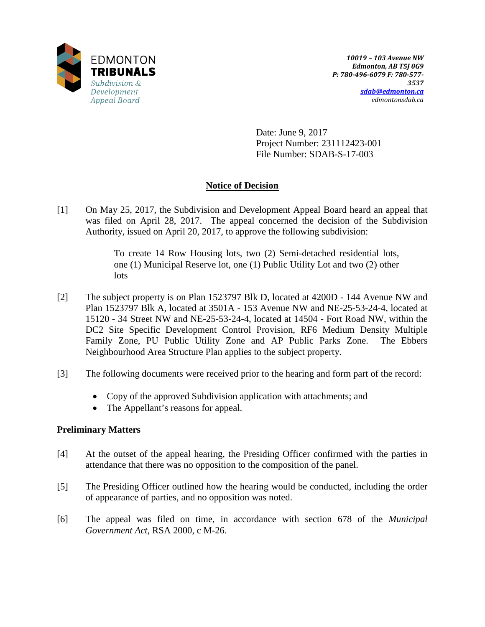

Date: June 9, 2017 Project Number: 231112423-001 File Number: SDAB-S-17-003

# **Notice of Decision**

[1] On May 25, 2017, the Subdivision and Development Appeal Board heard an appeal that was filed on April 28, 2017. The appeal concerned the decision of the Subdivision Authority, issued on April 20, 2017, to approve the following subdivision:

> To create 14 Row Housing lots, two (2) Semi-detached residential lots, one (1) Municipal Reserve lot, one (1) Public Utility Lot and two (2) other lots

- [2] The subject property is on Plan 1523797 Blk D, located at 4200D 144 Avenue NW and Plan 1523797 Blk A, located at 3501A - 153 Avenue NW and NE-25-53-24-4, located at 15120 - 34 Street NW and NE-25-53-24-4, located at 14504 - Fort Road NW, within the DC2 Site Specific Development Control Provision, RF6 Medium Density Multiple Family Zone, PU Public Utility Zone and AP Public Parks Zone. The Ebbers Neighbourhood Area Structure Plan applies to the subject property.
- [3] The following documents were received prior to the hearing and form part of the record:
	- Copy of the approved Subdivision application with attachments; and
	- The Appellant's reasons for appeal.

## **Preliminary Matters**

- [4] At the outset of the appeal hearing, the Presiding Officer confirmed with the parties in attendance that there was no opposition to the composition of the panel.
- [5] The Presiding Officer outlined how the hearing would be conducted, including the order of appearance of parties, and no opposition was noted.
- [6] The appeal was filed on time, in accordance with section 678 of the *Municipal Government Act*, RSA 2000, c M-26.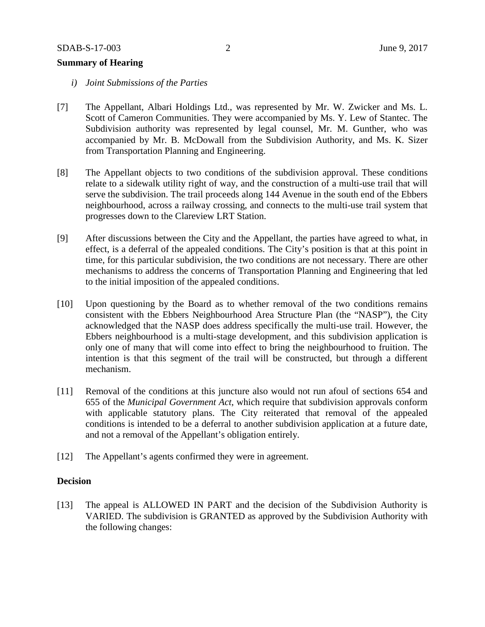#### **Summary of Hearing**

- *i) Joint Submissions of the Parties*
- [7] The Appellant, Albari Holdings Ltd., was represented by Mr. W. Zwicker and Ms. L. Scott of Cameron Communities. They were accompanied by Ms. Y. Lew of Stantec. The Subdivision authority was represented by legal counsel, Mr. M. Gunther, who was accompanied by Mr. B. McDowall from the Subdivision Authority, and Ms. K. Sizer from Transportation Planning and Engineering.
- [8] The Appellant objects to two conditions of the subdivision approval. These conditions relate to a sidewalk utility right of way, and the construction of a multi-use trail that will serve the subdivision. The trail proceeds along 144 Avenue in the south end of the Ebbers neighbourhood, across a railway crossing, and connects to the multi-use trail system that progresses down to the Clareview LRT Station.
- [9] After discussions between the City and the Appellant, the parties have agreed to what, in effect, is a deferral of the appealed conditions. The City's position is that at this point in time, for this particular subdivision, the two conditions are not necessary. There are other mechanisms to address the concerns of Transportation Planning and Engineering that led to the initial imposition of the appealed conditions.
- [10] Upon questioning by the Board as to whether removal of the two conditions remains consistent with the Ebbers Neighbourhood Area Structure Plan (the "NASP"), the City acknowledged that the NASP does address specifically the multi-use trail. However, the Ebbers neighbourhood is a multi-stage development, and this subdivision application is only one of many that will come into effect to bring the neighbourhood to fruition. The intention is that this segment of the trail will be constructed, but through a different mechanism.
- [11] Removal of the conditions at this juncture also would not run afoul of sections 654 and 655 of the *Municipal Government Act*, which require that subdivision approvals conform with applicable statutory plans. The City reiterated that removal of the appealed conditions is intended to be a deferral to another subdivision application at a future date, and not a removal of the Appellant's obligation entirely.
- [12] The Appellant's agents confirmed they were in agreement.

#### **Decision**

[13] The appeal is ALLOWED IN PART and the decision of the Subdivision Authority is VARIED. The subdivision is GRANTED as approved by the Subdivision Authority with the following changes: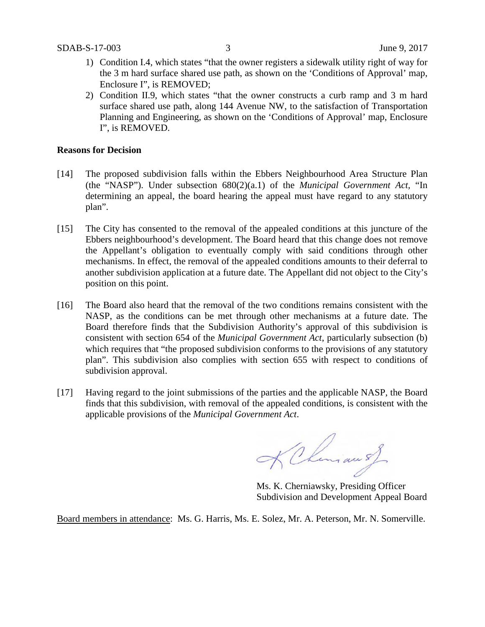- 1) Condition I.4, which states "that the owner registers a sidewalk utility right of way for the 3 m hard surface shared use path, as shown on the 'Conditions of Approval' map, Enclosure I", is REMOVED;
- 2) Condition II.9, which states "that the owner constructs a curb ramp and 3 m hard surface shared use path, along 144 Avenue NW, to the satisfaction of Transportation Planning and Engineering, as shown on the 'Conditions of Approval' map, Enclosure I", is REMOVED.

#### **Reasons for Decision**

- [14] The proposed subdivision falls within the Ebbers Neighbourhood Area Structure Plan (the "NASP"). Under subsection 680(2)(a.1) of the *Municipal Government Act,* "In determining an appeal, the board hearing the appeal must have regard to any statutory plan".
- [15] The City has consented to the removal of the appealed conditions at this juncture of the Ebbers neighbourhood's development. The Board heard that this change does not remove the Appellant's obligation to eventually comply with said conditions through other mechanisms. In effect, the removal of the appealed conditions amounts to their deferral to another subdivision application at a future date. The Appellant did not object to the City's position on this point.
- [16] The Board also heard that the removal of the two conditions remains consistent with the NASP, as the conditions can be met through other mechanisms at a future date. The Board therefore finds that the Subdivision Authority's approval of this subdivision is consistent with section 654 of the *Municipal Government Act*, particularly subsection (b) which requires that "the proposed subdivision conforms to the provisions of any statutory plan". This subdivision also complies with section 655 with respect to conditions of subdivision approval.
- [17] Having regard to the joint submissions of the parties and the applicable NASP, the Board finds that this subdivision, with removal of the appealed conditions, is consistent with the applicable provisions of the *Municipal Government Act*.

KChman s)

Ms. K. Cherniawsky, Presiding Officer Subdivision and Development Appeal Board

Board members in attendance: Ms. G. Harris, Ms. E. Solez, Mr. A. Peterson, Mr. N. Somerville.